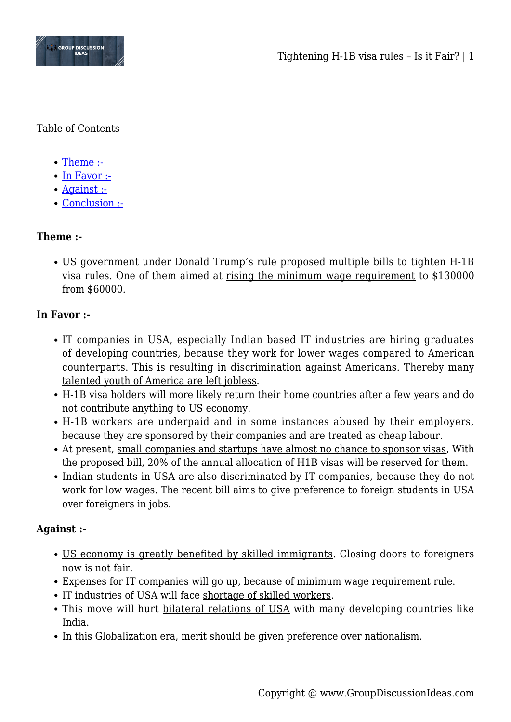

Table of Contents

- [Theme :-](#page--1-0)
- [In Favor :-](#page--1-0)
- [Against :-](#page--1-0)
- [Conclusion :-](#page--1-0)

## **Theme :-**

US government under Donald Trump's rule proposed multiple bills to tighten H-1B visa rules. One of them aimed at rising the minimum wage requirement to \$130000 from \$60000.

## **In Favor :-**

- IT companies in USA, especially Indian based IT industries are hiring graduates of developing countries, because they work for lower wages compared to American counterparts. This is resulting in discrimination against Americans. Thereby many talented youth of America are left jobless.
- H-1B visa holders will more likely return their home countries after a few years and do not contribute anything to US economy.
- H-1B workers are underpaid and in some instances abused by their employers, because they are sponsored by their companies and are treated as cheap labour.
- At present, small companies and startups have almost no chance to sponsor visas, With the proposed bill, 20% of the annual allocation of H1B visas will be reserved for them.
- Indian students in USA are also discriminated by IT companies, because they do not work for low wages. The recent bill aims to give preference to foreign students in USA over foreigners in jobs.

## **Against :-**

- US economy is greatly benefited by skilled immigrants. Closing doors to foreigners now is not fair.
- Expenses for IT companies will go up, because of minimum wage requirement rule.
- IT industries of USA will face shortage of skilled workers.
- This move will hurt bilateral relations of USA with many developing countries like India.
- In this Globalization era, merit should be given preference over nationalism.